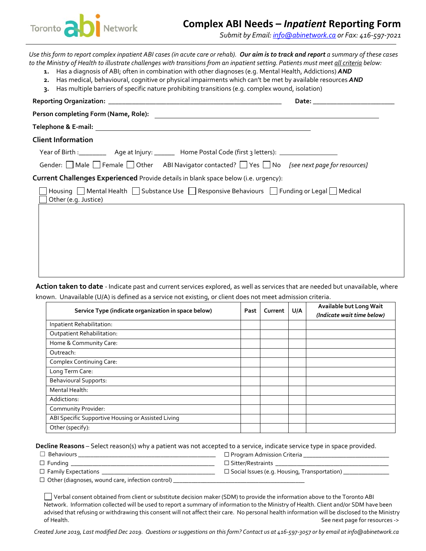

## **Complex ABI Needs –** *Inpatient* **Reporting Form**

*Submit by Email[: info@abinetwork.ca](mailto:info@abinetwork.ca) or Fax: 416-597-7021*

*Use this form to report complex inpatient ABI cases (in acute care or rehab). Our aim is to track and report a summary of these cases to the Ministry of Health to illustrate challenges with transitions from an inpatient setting. Patients must meet all criteria below:*  **1.** Has a diagnosis of ABI; often in combination with other diagnoses (e.g. Mental Health, Addictions) *AND* **2.** Has medical, behavioural, cognitive or physical impairments which can't be met by available resources *AND* **3.** Has multiple barriers of specific nature prohibiting transitions (e.g. complex wound, isolation) **Reporting Organization: \_\_\_\_\_\_\_\_\_\_\_\_\_\_\_\_\_\_\_\_\_\_\_\_\_\_\_\_\_\_\_\_\_\_\_\_\_\_\_\_\_\_\_\_\_\_\_\_\_\_\_ Date: \_\_\_\_\_\_\_\_\_\_\_\_\_\_\_\_\_\_\_\_\_\_\_\_ Person completing Form (Name, Role): Telephone & E-mail: Client Information** Year of Birth :\_\_\_\_\_\_\_\_\_\_\_ Age at Injury: \_\_\_\_\_\_\_ Home Postal Code (first 3 letters): \_\_\_\_\_\_\_\_\_\_\_\_\_\_ Gender: Male Female Other ABI Navigator contacted? No *[see next page for resources]* **Current Challenges Experienced** Provide details in blank space below (i.e. urgency): Housing  $\Box$  Mental Health  $\Box$  Substance Use  $\Box$  Responsive Behaviours  $\Box$  Funding or Legal  $\Box$  Medical Other (e.g. Justice)

**Action taken to date** - Indicate past and current services explored, as well as services that are needed but unavailable, where known. Unavailable (U/A) is defined as a service not existing, or client does not meet admission criteria.

| Service Type (indicate organization in space below) | Past | Current | U/A | Available but Long Wait<br>(Indicate wait time below) |
|-----------------------------------------------------|------|---------|-----|-------------------------------------------------------|
| Inpatient Rehabilitation:                           |      |         |     |                                                       |
| <b>Outpatient Rehabilitation:</b>                   |      |         |     |                                                       |
| Home & Community Care:                              |      |         |     |                                                       |
| Outreach:                                           |      |         |     |                                                       |
| Complex Continuing Care:                            |      |         |     |                                                       |
| Long Term Care:                                     |      |         |     |                                                       |
| <b>Behavioural Supports:</b>                        |      |         |     |                                                       |
| Mental Health:                                      |      |         |     |                                                       |
| Addictions:                                         |      |         |     |                                                       |
| Community Provider:                                 |      |         |     |                                                       |
| ABI Specific Supportive Housing or Assisted Living  |      |         |     |                                                       |
| Other (specify):                                    |      |         |     |                                                       |

**Decline Reasons** – Select reason(s) why a patient was not accepted to a service, indicate service type in space provided.

| $\Box$ Behaviours          | $\Box$ Program Admission Criteria                      |
|----------------------------|--------------------------------------------------------|
| $\Box$ Funding $\Box$      | $\Box$ Sitter/Restraints                               |
| $\Box$ Family Expectations | $\square$ Social Issues (e.g. Housing, Transportation) |
| $\blacksquare$             |                                                        |

 $\Box$  Other (diagnoses, wound care, infection control)  $\Box$ 

Verbal consent obtained from client or substitute decision maker (SDM) to provide the information above to the Toronto ABI Network. Information collected will be used to report a summary of information to the Ministry of Health. Client and/or SDM have been advised that refusing or withdrawing this consent will not affect their care. No personal health information will be disclosed to the Ministry of Health. See next page for resources ->

*Created June 2019, Last modified Dec 2019. Questions or suggestions on this form? Contact us at 416-597-3057 or by email at info@abinetwork.ca*